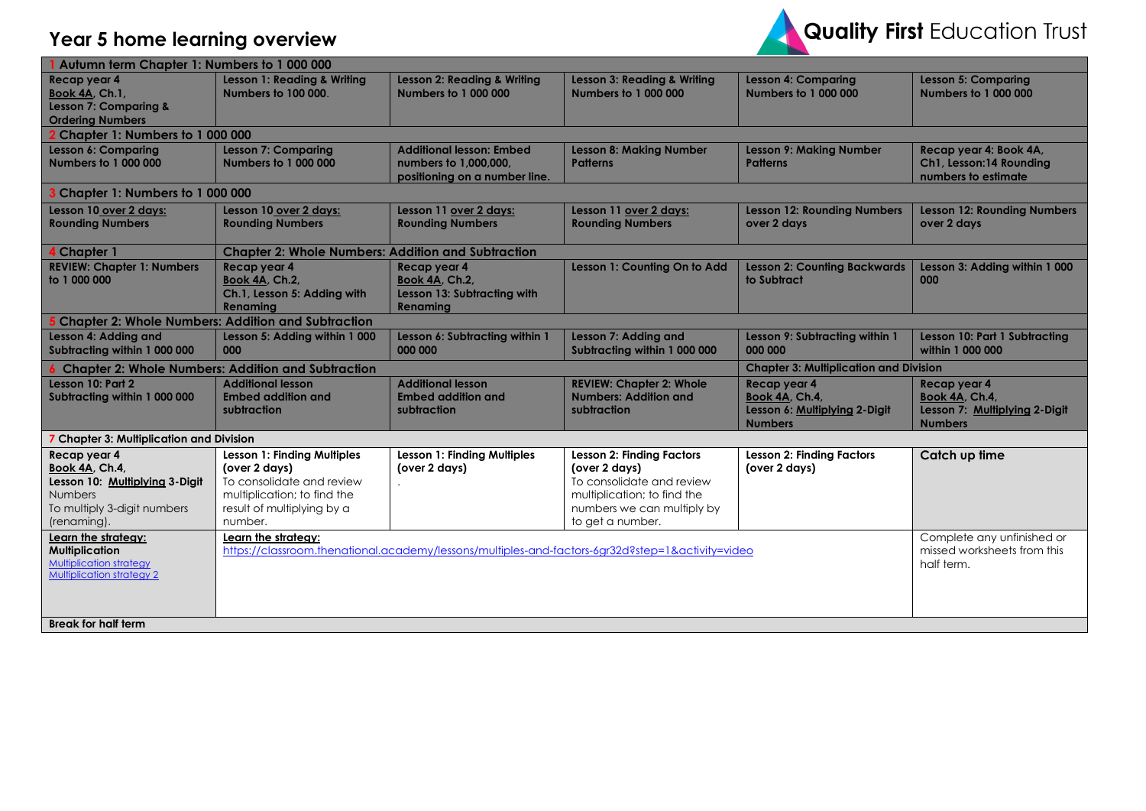



| Autumn term Chapter 1: Numbers to 1 000 000                                                                                                                                      |                                                                                                                                                                          |                                                                                           |                                                                                                                                                                                                                                                                     |                                                                                   |                                                                                   |
|----------------------------------------------------------------------------------------------------------------------------------------------------------------------------------|--------------------------------------------------------------------------------------------------------------------------------------------------------------------------|-------------------------------------------------------------------------------------------|---------------------------------------------------------------------------------------------------------------------------------------------------------------------------------------------------------------------------------------------------------------------|-----------------------------------------------------------------------------------|-----------------------------------------------------------------------------------|
| Recap year 4<br><b>Book 4A, Ch.1,</b><br>Lesson 7: Comparing &<br><b>Ordering Numbers</b>                                                                                        | Lesson 1: Reading & Writing<br><b>Numbers to 100 000.</b>                                                                                                                | Lesson 2: Reading & Writing<br><b>Numbers to 1 000 000</b>                                | Lesson 3: Reading & Writing<br><b>Numbers to 1 000 000</b>                                                                                                                                                                                                          | <b>Lesson 4: Comparing</b><br><b>Numbers to 1 000 000</b>                         | <b>Lesson 5: Comparing</b><br><b>Numbers to 1 000 000</b>                         |
| <b>Chapter 1: Numbers to 1 000 000</b>                                                                                                                                           |                                                                                                                                                                          |                                                                                           |                                                                                                                                                                                                                                                                     |                                                                                   |                                                                                   |
| Lesson 6: Comparing<br><b>Numbers to 1 000 000</b>                                                                                                                               | <b>Lesson 7: Comparing</b><br><b>Numbers to 1 000 000</b>                                                                                                                | <b>Additional lesson: Embed</b><br>numbers to 1,000,000.<br>positioning on a number line. | <b>Lesson 8: Making Number</b><br><b>Patterns</b>                                                                                                                                                                                                                   | <b>Lesson 9: Making Number</b><br><b>Patterns</b>                                 | Recap year 4: Book 4A,<br>Ch1, Lesson:14 Rounding<br>numbers to estimate          |
| 3 Chapter 1: Numbers to 1 000 000                                                                                                                                                |                                                                                                                                                                          |                                                                                           |                                                                                                                                                                                                                                                                     |                                                                                   |                                                                                   |
| Lesson 10 over 2 days:<br><b>Rounding Numbers</b>                                                                                                                                | Lesson 10 over 2 days:<br><b>Rounding Numbers</b>                                                                                                                        | Lesson 11 over 2 days:<br><b>Rounding Numbers</b>                                         | Lesson 11 over 2 days:<br><b>Rounding Numbers</b>                                                                                                                                                                                                                   | <b>Lesson 12: Rounding Numbers</b><br>over 2 days                                 | <b>Lesson 12: Rounding Numbers</b><br>over 2 days                                 |
| 4 Chapter 1                                                                                                                                                                      | <b>Chapter 2: Whole Numbers: Addition and Subtraction</b>                                                                                                                |                                                                                           |                                                                                                                                                                                                                                                                     |                                                                                   |                                                                                   |
| <b>REVIEW: Chapter 1: Numbers</b><br>to 1 000 000                                                                                                                                | Recap year 4<br><b>Book 4A, Ch.2,</b><br>Ch.1, Lesson 5: Adding with<br>Renaming                                                                                         | Recap year 4<br><b>Book 4A, Ch.2,</b><br>Lesson 13: Subtracting with<br>Renaming          | Lesson 1: Counting On to Add                                                                                                                                                                                                                                        | <b>Lesson 2: Counting Backwards</b><br>to Subtract                                | Lesson 3: Adding within 1 000<br>000                                              |
|                                                                                                                                                                                  | <b>Chapter 2: Whole Numbers: Addition and Subtraction</b>                                                                                                                |                                                                                           |                                                                                                                                                                                                                                                                     |                                                                                   |                                                                                   |
| Lesson 4: Adding and<br>Subtracting within 1 000 000                                                                                                                             | Lesson 5: Adding within 1 000<br>000                                                                                                                                     | Lesson 6: Subtracting within 1<br>000 000                                                 | Lesson 7: Adding and<br>Subtracting within 1 000 000                                                                                                                                                                                                                | Lesson 9: Subtracting within 1<br>000 000                                         | <b>Lesson 10: Part 1 Subtracting</b><br>within 1 000 000                          |
| <b>Chapter 3: Multiplication and Division</b><br><b>6 Chapter 2: Whole Numbers: Addition and Subtraction</b>                                                                     |                                                                                                                                                                          |                                                                                           |                                                                                                                                                                                                                                                                     |                                                                                   |                                                                                   |
| Lesson 10: Part 2<br>Subtracting within 1 000 000                                                                                                                                | <b>Additional lesson</b><br><b>Embed addition and</b><br>subtraction                                                                                                     | <b>Additional lesson</b><br><b>Embed addition and</b><br>subtraction                      | <b>REVIEW: Chapter 2: Whole</b><br><b>Numbers: Addition and</b><br>subtraction                                                                                                                                                                                      | Recap year 4<br>Book 4A, Ch.4,<br>Lesson 6: Multiplying 2-Digit<br><b>Numbers</b> | Recap year 4<br>Book 4A, Ch.4,<br>Lesson 7: Multiplying 2-Digit<br><b>Numbers</b> |
| 7 Chapter 3: Multiplication and Division                                                                                                                                         |                                                                                                                                                                          |                                                                                           |                                                                                                                                                                                                                                                                     |                                                                                   |                                                                                   |
| Recap year 4<br>Book 4A, Ch.4,<br>Lesson 10: Multiplying 3-Digit<br><b>Numbers</b><br>To multiply 3-digit numbers<br>(renaming).<br>Learn the strategy:<br><b>Multiplication</b> | Lesson 1: Finding Multiples<br>(over 2 days)<br>To consolidate and review<br>multiplication; to find the<br>result of multiplying by a<br>number.<br>Learn the strategy: | Lesson 1: Finding Multiples<br>(over 2 days)                                              | <b>Lesson 2: Finding Factors</b><br>(over 2 days)<br>To consolidate and review<br>multiplication; to find the<br>numbers we can multiply by<br>to get a number.<br>https://classroom.thenational.academy/lessons/multiples-and-factors-6gr32d?step=1&activity=video | <b>Lesson 2: Finding Factors</b><br>(over 2 days)                                 | Catch up time<br>Complete any unfinished or<br>missed worksheets from this        |
| Multiplication strategy<br><b>Multiplication strategy 2</b><br><b>Break for half term</b>                                                                                        |                                                                                                                                                                          |                                                                                           |                                                                                                                                                                                                                                                                     |                                                                                   | half term.                                                                        |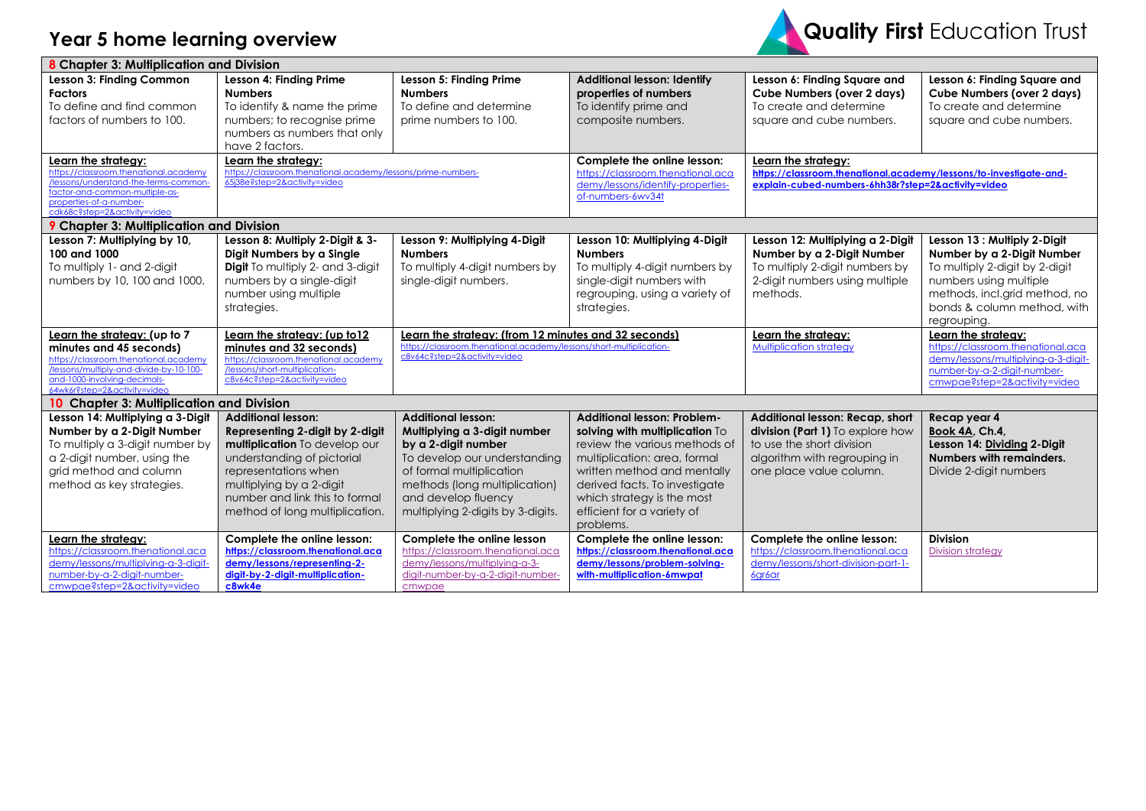

| Lesson 4: Finding Prime<br>Lesson 3: Finding Common<br>Lesson 5: Finding Prime<br><b>Additional lesson: Identify</b><br>Lesson 6: Finding Square and<br>Lesson 6: Finding Square and<br><b>Factors</b><br><b>Numbers</b><br><b>Numbers</b><br>properties of numbers<br><b>Cube Numbers (over 2 days)</b><br><b>Cube Numbers (over 2 days)</b><br>To define and find common<br>To identify & name the prime<br>To define and determine<br>To identify prime and<br>To create and determine<br>To create and determine<br>factors of numbers to 100.<br>numbers; to recognise prime<br>prime numbers to 100.<br>composite numbers.<br>square and cube numbers.<br>square and cube numbers.<br>numbers as numbers that only<br>have 2 factors.<br>Learn the strategy:<br>Learn the strateav:<br>Complete the online lesson:<br>Learn the strategy:<br>https://classroom.thenational.academy<br>https://classroom.thenational.academy/lessons/prime-numbers-<br>https://classroom.thenational.aca<br>https://classroom.thenational.academy/lessons/to-investigate-and-<br>/lessons/understand-the-terms-common-<br>65i38e?step=2&activity=video<br>demy/lessons/identify-properties-<br>explain-cubed-numbers-6hh38r?step=2&activity=video<br>factor-and-common-multiple-as-<br>of-numbers-6wv34t<br>properties-of-a-number-<br>cdk68c?step=2&activity=video<br><b>9 Chapter 3: Multiplication and Division</b><br>Lesson 8: Multiply 2-Digit & 3-<br>Lesson 7: Multiplying by 10,<br>Lesson 9: Multiplying 4-Digit<br>Lesson 10: Multiplying 4-Digit<br>Lesson 12: Multiplying a 2-Digit<br>Lesson 13 : Multiply 2-Digit<br>100 and 1000<br>Digit Numbers by a Single<br>Number by a 2-Digit Number<br>Number by a 2-Digit Number<br><b>Numbers</b><br><b>Numbers</b><br>To multiply 1- and 2-digit<br><b>Digit</b> To multiply 2- and 3-digit<br>To multiply 4-digit numbers by<br>To multiply 4-digit numbers by<br>To multiply 2-digit numbers by<br>To multiply 2-digit by 2-digit<br>2-digit numbers using multiple<br>numbers by 10, 100 and 1000.<br>numbers by a single-digit<br>single-digit numbers.<br>single-digit numbers with<br>numbers using multiple<br>number using multiple<br>regrouping, using a variety of<br>methods.<br>methods, incl.grid method, no<br>bonds & column method, with<br>strategies.<br>strategies.<br>regrouping.<br>Learn the strategy: (from 12 minutes and 32 seconds)<br>Learn the strategy:<br>Learn the strategy: (up to 7<br>Learn the strategy: (up to 12<br>Learn the strategy:<br>https://classroom.thenational.academy/lessons/short-multiplication-<br>Multiplication strategy<br>https://classroom.thenational.aca<br>minutes and 45 seconds)<br>minutes and 32 seconds)<br>c8v64c?step=2&activity=video<br>demy/lessons/multiplying-a-3-digit-<br>https://classroom.thenational.academy<br>https://classroom.thenational.academy<br>/lessons/multiply-and-divide-by-10-100-<br>/lessons/short-multiplication-<br>number-by-a-2-digit-number-<br>and-1000-involving-decimals-<br>c8v64c?step=2&activity=video<br>cmwpae?step=2&activity=video<br>64wk6r?step=2&activity=video<br>10 Chapter 3: Multiplication and Division<br>Lesson 14: Multiplying a 3-Digit<br><b>Additional lesson:</b><br><b>Additional lesson: Problem-</b><br>Additional lesson: Recap, short<br>Recap year 4<br><b>Additional lesson:</b><br>Number by a 2-Digit Number<br>Representing 2-digit by 2-digit<br>Multiplying a 3-digit number<br>solving with multiplication To<br>division (Part 1) To explore how<br>Book 4A, Ch.4,<br>To multiply a 3-digit number by<br>multiplication To develop our<br>by a 2-digit number<br>review the various methods of<br>to use the short division<br>Lesson 14: Dividing 2-Digit<br>Numbers with remainders.<br>understanding of pictorial<br>To develop our understanding<br>multiplication: area, formal<br>algorithm with regrouping in<br>a 2-digit number, using the<br>grid method and column<br>representations when<br>of formal multiplication<br>written method and mentally<br>one place value column.<br>Divide 2-digit numbers<br>method as key strategies.<br>multiplying by a 2-digit<br>methods (long multiplication)<br>derived facts. To investigate<br>number and link this to formal<br>and develop fluency<br>which strategy is the most<br>efficient for a variety of<br>method of long multiplication.<br>multiplying 2-digits by 3-digits.<br>problems.<br><b>Division</b><br>Complete the online lesson:<br>Complete the online lesson<br>Complete the online lesson:<br>Complete the online lesson:<br>Learn the strategy:<br>https://classroom.thenational.aca<br>https://classroom.thenational.aca<br>https://classroom.thenational.aca<br>https://classroom.thenational.aca<br>https://classroom.thenational.aca<br><b>Division strategy</b><br>demy/lessons/problem-solving-<br>demy/lessons/multiplying-a-3-digit-<br>demy/lessons/representing-2-<br>demy/lessons/multiplying-a-3-<br>demy/lessons/short-division-part-1-<br>number-by-a-2-digit-number-<br>with-multiplication-6mwpat<br>digit-by-2-digit-multiplication-<br>digit-number-by-a-2-digit-number-<br>6gr6ar<br>cmwpae?step=2&activity=video<br>c8wk4e<br>cmwpae | 8 Chapter 3: Multiplication and Division |  |  |  |
|-----------------------------------------------------------------------------------------------------------------------------------------------------------------------------------------------------------------------------------------------------------------------------------------------------------------------------------------------------------------------------------------------------------------------------------------------------------------------------------------------------------------------------------------------------------------------------------------------------------------------------------------------------------------------------------------------------------------------------------------------------------------------------------------------------------------------------------------------------------------------------------------------------------------------------------------------------------------------------------------------------------------------------------------------------------------------------------------------------------------------------------------------------------------------------------------------------------------------------------------------------------------------------------------------------------------------------------------------------------------------------------------------------------------------------------------------------------------------------------------------------------------------------------------------------------------------------------------------------------------------------------------------------------------------------------------------------------------------------------------------------------------------------------------------------------------------------------------------------------------------------------------------------------------------------------------------------------------------------------------------------------------------------------------------------------------------------------------------------------------------------------------------------------------------------------------------------------------------------------------------------------------------------------------------------------------------------------------------------------------------------------------------------------------------------------------------------------------------------------------------------------------------------------------------------------------------------------------------------------------------------------------------------------------------------------------------------------------------------------------------------------------------------------------------------------------------------------------------------------------------------------------------------------------------------------------------------------------------------------------------------------------------------------------------------------------------------------------------------------------------------------------------------------------------------------------------------------------------------------------------------------------------------------------------------------------------------------------------------------------------------------------------------------------------------------------------------------------------------------------------------------------------------------------------------------------------------------------------------------------------------------------------------------------------------------------------------------------------------------------------------------------------------------------------------------------------------------------------------------------------------------------------------------------------------------------------------------------------------------------------------------------------------------------------------------------------------------------------------------------------------------------------------------------------------------------------------------------------------------------------------------------------------------------------------------------------------------------------------------------------------------------------------------------------------------------------------------------------------------------------------------------------------------------------------------------------------------------------------------------------------------------------------------------------------------------------------------------------------------------------------------------------------------------------------------------------------------------------------------------------------------------------------------------------------------------------------------------------------------------------------------------------------------------------------------------------------------------------------------------------------------------------------------------------------------------------------------------------------------|------------------------------------------|--|--|--|
|                                                                                                                                                                                                                                                                                                                                                                                                                                                                                                                                                                                                                                                                                                                                                                                                                                                                                                                                                                                                                                                                                                                                                                                                                                                                                                                                                                                                                                                                                                                                                                                                                                                                                                                                                                                                                                                                                                                                                                                                                                                                                                                                                                                                                                                                                                                                                                                                                                                                                                                                                                                                                                                                                                                                                                                                                                                                                                                                                                                                                                                                                                                                                                                                                                                                                                                                                                                                                                                                                                                                                                                                                                                                                                                                                                                                                                                                                                                                                                                                                                                                                                                                                                                                                                                                                                                                                                                                                                                                                                                                                                                                                                                                                                                                                                                                                                                                                                                                                                                                                                                                                                                                                                                                                                   |                                          |  |  |  |
|                                                                                                                                                                                                                                                                                                                                                                                                                                                                                                                                                                                                                                                                                                                                                                                                                                                                                                                                                                                                                                                                                                                                                                                                                                                                                                                                                                                                                                                                                                                                                                                                                                                                                                                                                                                                                                                                                                                                                                                                                                                                                                                                                                                                                                                                                                                                                                                                                                                                                                                                                                                                                                                                                                                                                                                                                                                                                                                                                                                                                                                                                                                                                                                                                                                                                                                                                                                                                                                                                                                                                                                                                                                                                                                                                                                                                                                                                                                                                                                                                                                                                                                                                                                                                                                                                                                                                                                                                                                                                                                                                                                                                                                                                                                                                                                                                                                                                                                                                                                                                                                                                                                                                                                                                                   |                                          |  |  |  |
|                                                                                                                                                                                                                                                                                                                                                                                                                                                                                                                                                                                                                                                                                                                                                                                                                                                                                                                                                                                                                                                                                                                                                                                                                                                                                                                                                                                                                                                                                                                                                                                                                                                                                                                                                                                                                                                                                                                                                                                                                                                                                                                                                                                                                                                                                                                                                                                                                                                                                                                                                                                                                                                                                                                                                                                                                                                                                                                                                                                                                                                                                                                                                                                                                                                                                                                                                                                                                                                                                                                                                                                                                                                                                                                                                                                                                                                                                                                                                                                                                                                                                                                                                                                                                                                                                                                                                                                                                                                                                                                                                                                                                                                                                                                                                                                                                                                                                                                                                                                                                                                                                                                                                                                                                                   |                                          |  |  |  |
|                                                                                                                                                                                                                                                                                                                                                                                                                                                                                                                                                                                                                                                                                                                                                                                                                                                                                                                                                                                                                                                                                                                                                                                                                                                                                                                                                                                                                                                                                                                                                                                                                                                                                                                                                                                                                                                                                                                                                                                                                                                                                                                                                                                                                                                                                                                                                                                                                                                                                                                                                                                                                                                                                                                                                                                                                                                                                                                                                                                                                                                                                                                                                                                                                                                                                                                                                                                                                                                                                                                                                                                                                                                                                                                                                                                                                                                                                                                                                                                                                                                                                                                                                                                                                                                                                                                                                                                                                                                                                                                                                                                                                                                                                                                                                                                                                                                                                                                                                                                                                                                                                                                                                                                                                                   |                                          |  |  |  |
|                                                                                                                                                                                                                                                                                                                                                                                                                                                                                                                                                                                                                                                                                                                                                                                                                                                                                                                                                                                                                                                                                                                                                                                                                                                                                                                                                                                                                                                                                                                                                                                                                                                                                                                                                                                                                                                                                                                                                                                                                                                                                                                                                                                                                                                                                                                                                                                                                                                                                                                                                                                                                                                                                                                                                                                                                                                                                                                                                                                                                                                                                                                                                                                                                                                                                                                                                                                                                                                                                                                                                                                                                                                                                                                                                                                                                                                                                                                                                                                                                                                                                                                                                                                                                                                                                                                                                                                                                                                                                                                                                                                                                                                                                                                                                                                                                                                                                                                                                                                                                                                                                                                                                                                                                                   |                                          |  |  |  |
|                                                                                                                                                                                                                                                                                                                                                                                                                                                                                                                                                                                                                                                                                                                                                                                                                                                                                                                                                                                                                                                                                                                                                                                                                                                                                                                                                                                                                                                                                                                                                                                                                                                                                                                                                                                                                                                                                                                                                                                                                                                                                                                                                                                                                                                                                                                                                                                                                                                                                                                                                                                                                                                                                                                                                                                                                                                                                                                                                                                                                                                                                                                                                                                                                                                                                                                                                                                                                                                                                                                                                                                                                                                                                                                                                                                                                                                                                                                                                                                                                                                                                                                                                                                                                                                                                                                                                                                                                                                                                                                                                                                                                                                                                                                                                                                                                                                                                                                                                                                                                                                                                                                                                                                                                                   |                                          |  |  |  |
|                                                                                                                                                                                                                                                                                                                                                                                                                                                                                                                                                                                                                                                                                                                                                                                                                                                                                                                                                                                                                                                                                                                                                                                                                                                                                                                                                                                                                                                                                                                                                                                                                                                                                                                                                                                                                                                                                                                                                                                                                                                                                                                                                                                                                                                                                                                                                                                                                                                                                                                                                                                                                                                                                                                                                                                                                                                                                                                                                                                                                                                                                                                                                                                                                                                                                                                                                                                                                                                                                                                                                                                                                                                                                                                                                                                                                                                                                                                                                                                                                                                                                                                                                                                                                                                                                                                                                                                                                                                                                                                                                                                                                                                                                                                                                                                                                                                                                                                                                                                                                                                                                                                                                                                                                                   |                                          |  |  |  |
|                                                                                                                                                                                                                                                                                                                                                                                                                                                                                                                                                                                                                                                                                                                                                                                                                                                                                                                                                                                                                                                                                                                                                                                                                                                                                                                                                                                                                                                                                                                                                                                                                                                                                                                                                                                                                                                                                                                                                                                                                                                                                                                                                                                                                                                                                                                                                                                                                                                                                                                                                                                                                                                                                                                                                                                                                                                                                                                                                                                                                                                                                                                                                                                                                                                                                                                                                                                                                                                                                                                                                                                                                                                                                                                                                                                                                                                                                                                                                                                                                                                                                                                                                                                                                                                                                                                                                                                                                                                                                                                                                                                                                                                                                                                                                                                                                                                                                                                                                                                                                                                                                                                                                                                                                                   |                                          |  |  |  |
|                                                                                                                                                                                                                                                                                                                                                                                                                                                                                                                                                                                                                                                                                                                                                                                                                                                                                                                                                                                                                                                                                                                                                                                                                                                                                                                                                                                                                                                                                                                                                                                                                                                                                                                                                                                                                                                                                                                                                                                                                                                                                                                                                                                                                                                                                                                                                                                                                                                                                                                                                                                                                                                                                                                                                                                                                                                                                                                                                                                                                                                                                                                                                                                                                                                                                                                                                                                                                                                                                                                                                                                                                                                                                                                                                                                                                                                                                                                                                                                                                                                                                                                                                                                                                                                                                                                                                                                                                                                                                                                                                                                                                                                                                                                                                                                                                                                                                                                                                                                                                                                                                                                                                                                                                                   |                                          |  |  |  |
|                                                                                                                                                                                                                                                                                                                                                                                                                                                                                                                                                                                                                                                                                                                                                                                                                                                                                                                                                                                                                                                                                                                                                                                                                                                                                                                                                                                                                                                                                                                                                                                                                                                                                                                                                                                                                                                                                                                                                                                                                                                                                                                                                                                                                                                                                                                                                                                                                                                                                                                                                                                                                                                                                                                                                                                                                                                                                                                                                                                                                                                                                                                                                                                                                                                                                                                                                                                                                                                                                                                                                                                                                                                                                                                                                                                                                                                                                                                                                                                                                                                                                                                                                                                                                                                                                                                                                                                                                                                                                                                                                                                                                                                                                                                                                                                                                                                                                                                                                                                                                                                                                                                                                                                                                                   |                                          |  |  |  |
|                                                                                                                                                                                                                                                                                                                                                                                                                                                                                                                                                                                                                                                                                                                                                                                                                                                                                                                                                                                                                                                                                                                                                                                                                                                                                                                                                                                                                                                                                                                                                                                                                                                                                                                                                                                                                                                                                                                                                                                                                                                                                                                                                                                                                                                                                                                                                                                                                                                                                                                                                                                                                                                                                                                                                                                                                                                                                                                                                                                                                                                                                                                                                                                                                                                                                                                                                                                                                                                                                                                                                                                                                                                                                                                                                                                                                                                                                                                                                                                                                                                                                                                                                                                                                                                                                                                                                                                                                                                                                                                                                                                                                                                                                                                                                                                                                                                                                                                                                                                                                                                                                                                                                                                                                                   |                                          |  |  |  |
|                                                                                                                                                                                                                                                                                                                                                                                                                                                                                                                                                                                                                                                                                                                                                                                                                                                                                                                                                                                                                                                                                                                                                                                                                                                                                                                                                                                                                                                                                                                                                                                                                                                                                                                                                                                                                                                                                                                                                                                                                                                                                                                                                                                                                                                                                                                                                                                                                                                                                                                                                                                                                                                                                                                                                                                                                                                                                                                                                                                                                                                                                                                                                                                                                                                                                                                                                                                                                                                                                                                                                                                                                                                                                                                                                                                                                                                                                                                                                                                                                                                                                                                                                                                                                                                                                                                                                                                                                                                                                                                                                                                                                                                                                                                                                                                                                                                                                                                                                                                                                                                                                                                                                                                                                                   |                                          |  |  |  |
|                                                                                                                                                                                                                                                                                                                                                                                                                                                                                                                                                                                                                                                                                                                                                                                                                                                                                                                                                                                                                                                                                                                                                                                                                                                                                                                                                                                                                                                                                                                                                                                                                                                                                                                                                                                                                                                                                                                                                                                                                                                                                                                                                                                                                                                                                                                                                                                                                                                                                                                                                                                                                                                                                                                                                                                                                                                                                                                                                                                                                                                                                                                                                                                                                                                                                                                                                                                                                                                                                                                                                                                                                                                                                                                                                                                                                                                                                                                                                                                                                                                                                                                                                                                                                                                                                                                                                                                                                                                                                                                                                                                                                                                                                                                                                                                                                                                                                                                                                                                                                                                                                                                                                                                                                                   |                                          |  |  |  |
|                                                                                                                                                                                                                                                                                                                                                                                                                                                                                                                                                                                                                                                                                                                                                                                                                                                                                                                                                                                                                                                                                                                                                                                                                                                                                                                                                                                                                                                                                                                                                                                                                                                                                                                                                                                                                                                                                                                                                                                                                                                                                                                                                                                                                                                                                                                                                                                                                                                                                                                                                                                                                                                                                                                                                                                                                                                                                                                                                                                                                                                                                                                                                                                                                                                                                                                                                                                                                                                                                                                                                                                                                                                                                                                                                                                                                                                                                                                                                                                                                                                                                                                                                                                                                                                                                                                                                                                                                                                                                                                                                                                                                                                                                                                                                                                                                                                                                                                                                                                                                                                                                                                                                                                                                                   |                                          |  |  |  |
|                                                                                                                                                                                                                                                                                                                                                                                                                                                                                                                                                                                                                                                                                                                                                                                                                                                                                                                                                                                                                                                                                                                                                                                                                                                                                                                                                                                                                                                                                                                                                                                                                                                                                                                                                                                                                                                                                                                                                                                                                                                                                                                                                                                                                                                                                                                                                                                                                                                                                                                                                                                                                                                                                                                                                                                                                                                                                                                                                                                                                                                                                                                                                                                                                                                                                                                                                                                                                                                                                                                                                                                                                                                                                                                                                                                                                                                                                                                                                                                                                                                                                                                                                                                                                                                                                                                                                                                                                                                                                                                                                                                                                                                                                                                                                                                                                                                                                                                                                                                                                                                                                                                                                                                                                                   |                                          |  |  |  |
|                                                                                                                                                                                                                                                                                                                                                                                                                                                                                                                                                                                                                                                                                                                                                                                                                                                                                                                                                                                                                                                                                                                                                                                                                                                                                                                                                                                                                                                                                                                                                                                                                                                                                                                                                                                                                                                                                                                                                                                                                                                                                                                                                                                                                                                                                                                                                                                                                                                                                                                                                                                                                                                                                                                                                                                                                                                                                                                                                                                                                                                                                                                                                                                                                                                                                                                                                                                                                                                                                                                                                                                                                                                                                                                                                                                                                                                                                                                                                                                                                                                                                                                                                                                                                                                                                                                                                                                                                                                                                                                                                                                                                                                                                                                                                                                                                                                                                                                                                                                                                                                                                                                                                                                                                                   |                                          |  |  |  |
|                                                                                                                                                                                                                                                                                                                                                                                                                                                                                                                                                                                                                                                                                                                                                                                                                                                                                                                                                                                                                                                                                                                                                                                                                                                                                                                                                                                                                                                                                                                                                                                                                                                                                                                                                                                                                                                                                                                                                                                                                                                                                                                                                                                                                                                                                                                                                                                                                                                                                                                                                                                                                                                                                                                                                                                                                                                                                                                                                                                                                                                                                                                                                                                                                                                                                                                                                                                                                                                                                                                                                                                                                                                                                                                                                                                                                                                                                                                                                                                                                                                                                                                                                                                                                                                                                                                                                                                                                                                                                                                                                                                                                                                                                                                                                                                                                                                                                                                                                                                                                                                                                                                                                                                                                                   |                                          |  |  |  |
|                                                                                                                                                                                                                                                                                                                                                                                                                                                                                                                                                                                                                                                                                                                                                                                                                                                                                                                                                                                                                                                                                                                                                                                                                                                                                                                                                                                                                                                                                                                                                                                                                                                                                                                                                                                                                                                                                                                                                                                                                                                                                                                                                                                                                                                                                                                                                                                                                                                                                                                                                                                                                                                                                                                                                                                                                                                                                                                                                                                                                                                                                                                                                                                                                                                                                                                                                                                                                                                                                                                                                                                                                                                                                                                                                                                                                                                                                                                                                                                                                                                                                                                                                                                                                                                                                                                                                                                                                                                                                                                                                                                                                                                                                                                                                                                                                                                                                                                                                                                                                                                                                                                                                                                                                                   |                                          |  |  |  |
|                                                                                                                                                                                                                                                                                                                                                                                                                                                                                                                                                                                                                                                                                                                                                                                                                                                                                                                                                                                                                                                                                                                                                                                                                                                                                                                                                                                                                                                                                                                                                                                                                                                                                                                                                                                                                                                                                                                                                                                                                                                                                                                                                                                                                                                                                                                                                                                                                                                                                                                                                                                                                                                                                                                                                                                                                                                                                                                                                                                                                                                                                                                                                                                                                                                                                                                                                                                                                                                                                                                                                                                                                                                                                                                                                                                                                                                                                                                                                                                                                                                                                                                                                                                                                                                                                                                                                                                                                                                                                                                                                                                                                                                                                                                                                                                                                                                                                                                                                                                                                                                                                                                                                                                                                                   |                                          |  |  |  |
|                                                                                                                                                                                                                                                                                                                                                                                                                                                                                                                                                                                                                                                                                                                                                                                                                                                                                                                                                                                                                                                                                                                                                                                                                                                                                                                                                                                                                                                                                                                                                                                                                                                                                                                                                                                                                                                                                                                                                                                                                                                                                                                                                                                                                                                                                                                                                                                                                                                                                                                                                                                                                                                                                                                                                                                                                                                                                                                                                                                                                                                                                                                                                                                                                                                                                                                                                                                                                                                                                                                                                                                                                                                                                                                                                                                                                                                                                                                                                                                                                                                                                                                                                                                                                                                                                                                                                                                                                                                                                                                                                                                                                                                                                                                                                                                                                                                                                                                                                                                                                                                                                                                                                                                                                                   |                                          |  |  |  |
|                                                                                                                                                                                                                                                                                                                                                                                                                                                                                                                                                                                                                                                                                                                                                                                                                                                                                                                                                                                                                                                                                                                                                                                                                                                                                                                                                                                                                                                                                                                                                                                                                                                                                                                                                                                                                                                                                                                                                                                                                                                                                                                                                                                                                                                                                                                                                                                                                                                                                                                                                                                                                                                                                                                                                                                                                                                                                                                                                                                                                                                                                                                                                                                                                                                                                                                                                                                                                                                                                                                                                                                                                                                                                                                                                                                                                                                                                                                                                                                                                                                                                                                                                                                                                                                                                                                                                                                                                                                                                                                                                                                                                                                                                                                                                                                                                                                                                                                                                                                                                                                                                                                                                                                                                                   |                                          |  |  |  |
|                                                                                                                                                                                                                                                                                                                                                                                                                                                                                                                                                                                                                                                                                                                                                                                                                                                                                                                                                                                                                                                                                                                                                                                                                                                                                                                                                                                                                                                                                                                                                                                                                                                                                                                                                                                                                                                                                                                                                                                                                                                                                                                                                                                                                                                                                                                                                                                                                                                                                                                                                                                                                                                                                                                                                                                                                                                                                                                                                                                                                                                                                                                                                                                                                                                                                                                                                                                                                                                                                                                                                                                                                                                                                                                                                                                                                                                                                                                                                                                                                                                                                                                                                                                                                                                                                                                                                                                                                                                                                                                                                                                                                                                                                                                                                                                                                                                                                                                                                                                                                                                                                                                                                                                                                                   |                                          |  |  |  |
|                                                                                                                                                                                                                                                                                                                                                                                                                                                                                                                                                                                                                                                                                                                                                                                                                                                                                                                                                                                                                                                                                                                                                                                                                                                                                                                                                                                                                                                                                                                                                                                                                                                                                                                                                                                                                                                                                                                                                                                                                                                                                                                                                                                                                                                                                                                                                                                                                                                                                                                                                                                                                                                                                                                                                                                                                                                                                                                                                                                                                                                                                                                                                                                                                                                                                                                                                                                                                                                                                                                                                                                                                                                                                                                                                                                                                                                                                                                                                                                                                                                                                                                                                                                                                                                                                                                                                                                                                                                                                                                                                                                                                                                                                                                                                                                                                                                                                                                                                                                                                                                                                                                                                                                                                                   |                                          |  |  |  |
|                                                                                                                                                                                                                                                                                                                                                                                                                                                                                                                                                                                                                                                                                                                                                                                                                                                                                                                                                                                                                                                                                                                                                                                                                                                                                                                                                                                                                                                                                                                                                                                                                                                                                                                                                                                                                                                                                                                                                                                                                                                                                                                                                                                                                                                                                                                                                                                                                                                                                                                                                                                                                                                                                                                                                                                                                                                                                                                                                                                                                                                                                                                                                                                                                                                                                                                                                                                                                                                                                                                                                                                                                                                                                                                                                                                                                                                                                                                                                                                                                                                                                                                                                                                                                                                                                                                                                                                                                                                                                                                                                                                                                                                                                                                                                                                                                                                                                                                                                                                                                                                                                                                                                                                                                                   |                                          |  |  |  |
|                                                                                                                                                                                                                                                                                                                                                                                                                                                                                                                                                                                                                                                                                                                                                                                                                                                                                                                                                                                                                                                                                                                                                                                                                                                                                                                                                                                                                                                                                                                                                                                                                                                                                                                                                                                                                                                                                                                                                                                                                                                                                                                                                                                                                                                                                                                                                                                                                                                                                                                                                                                                                                                                                                                                                                                                                                                                                                                                                                                                                                                                                                                                                                                                                                                                                                                                                                                                                                                                                                                                                                                                                                                                                                                                                                                                                                                                                                                                                                                                                                                                                                                                                                                                                                                                                                                                                                                                                                                                                                                                                                                                                                                                                                                                                                                                                                                                                                                                                                                                                                                                                                                                                                                                                                   |                                          |  |  |  |
|                                                                                                                                                                                                                                                                                                                                                                                                                                                                                                                                                                                                                                                                                                                                                                                                                                                                                                                                                                                                                                                                                                                                                                                                                                                                                                                                                                                                                                                                                                                                                                                                                                                                                                                                                                                                                                                                                                                                                                                                                                                                                                                                                                                                                                                                                                                                                                                                                                                                                                                                                                                                                                                                                                                                                                                                                                                                                                                                                                                                                                                                                                                                                                                                                                                                                                                                                                                                                                                                                                                                                                                                                                                                                                                                                                                                                                                                                                                                                                                                                                                                                                                                                                                                                                                                                                                                                                                                                                                                                                                                                                                                                                                                                                                                                                                                                                                                                                                                                                                                                                                                                                                                                                                                                                   |                                          |  |  |  |
|                                                                                                                                                                                                                                                                                                                                                                                                                                                                                                                                                                                                                                                                                                                                                                                                                                                                                                                                                                                                                                                                                                                                                                                                                                                                                                                                                                                                                                                                                                                                                                                                                                                                                                                                                                                                                                                                                                                                                                                                                                                                                                                                                                                                                                                                                                                                                                                                                                                                                                                                                                                                                                                                                                                                                                                                                                                                                                                                                                                                                                                                                                                                                                                                                                                                                                                                                                                                                                                                                                                                                                                                                                                                                                                                                                                                                                                                                                                                                                                                                                                                                                                                                                                                                                                                                                                                                                                                                                                                                                                                                                                                                                                                                                                                                                                                                                                                                                                                                                                                                                                                                                                                                                                                                                   |                                          |  |  |  |
|                                                                                                                                                                                                                                                                                                                                                                                                                                                                                                                                                                                                                                                                                                                                                                                                                                                                                                                                                                                                                                                                                                                                                                                                                                                                                                                                                                                                                                                                                                                                                                                                                                                                                                                                                                                                                                                                                                                                                                                                                                                                                                                                                                                                                                                                                                                                                                                                                                                                                                                                                                                                                                                                                                                                                                                                                                                                                                                                                                                                                                                                                                                                                                                                                                                                                                                                                                                                                                                                                                                                                                                                                                                                                                                                                                                                                                                                                                                                                                                                                                                                                                                                                                                                                                                                                                                                                                                                                                                                                                                                                                                                                                                                                                                                                                                                                                                                                                                                                                                                                                                                                                                                                                                                                                   |                                          |  |  |  |
|                                                                                                                                                                                                                                                                                                                                                                                                                                                                                                                                                                                                                                                                                                                                                                                                                                                                                                                                                                                                                                                                                                                                                                                                                                                                                                                                                                                                                                                                                                                                                                                                                                                                                                                                                                                                                                                                                                                                                                                                                                                                                                                                                                                                                                                                                                                                                                                                                                                                                                                                                                                                                                                                                                                                                                                                                                                                                                                                                                                                                                                                                                                                                                                                                                                                                                                                                                                                                                                                                                                                                                                                                                                                                                                                                                                                                                                                                                                                                                                                                                                                                                                                                                                                                                                                                                                                                                                                                                                                                                                                                                                                                                                                                                                                                                                                                                                                                                                                                                                                                                                                                                                                                                                                                                   |                                          |  |  |  |
|                                                                                                                                                                                                                                                                                                                                                                                                                                                                                                                                                                                                                                                                                                                                                                                                                                                                                                                                                                                                                                                                                                                                                                                                                                                                                                                                                                                                                                                                                                                                                                                                                                                                                                                                                                                                                                                                                                                                                                                                                                                                                                                                                                                                                                                                                                                                                                                                                                                                                                                                                                                                                                                                                                                                                                                                                                                                                                                                                                                                                                                                                                                                                                                                                                                                                                                                                                                                                                                                                                                                                                                                                                                                                                                                                                                                                                                                                                                                                                                                                                                                                                                                                                                                                                                                                                                                                                                                                                                                                                                                                                                                                                                                                                                                                                                                                                                                                                                                                                                                                                                                                                                                                                                                                                   |                                          |  |  |  |
|                                                                                                                                                                                                                                                                                                                                                                                                                                                                                                                                                                                                                                                                                                                                                                                                                                                                                                                                                                                                                                                                                                                                                                                                                                                                                                                                                                                                                                                                                                                                                                                                                                                                                                                                                                                                                                                                                                                                                                                                                                                                                                                                                                                                                                                                                                                                                                                                                                                                                                                                                                                                                                                                                                                                                                                                                                                                                                                                                                                                                                                                                                                                                                                                                                                                                                                                                                                                                                                                                                                                                                                                                                                                                                                                                                                                                                                                                                                                                                                                                                                                                                                                                                                                                                                                                                                                                                                                                                                                                                                                                                                                                                                                                                                                                                                                                                                                                                                                                                                                                                                                                                                                                                                                                                   |                                          |  |  |  |
|                                                                                                                                                                                                                                                                                                                                                                                                                                                                                                                                                                                                                                                                                                                                                                                                                                                                                                                                                                                                                                                                                                                                                                                                                                                                                                                                                                                                                                                                                                                                                                                                                                                                                                                                                                                                                                                                                                                                                                                                                                                                                                                                                                                                                                                                                                                                                                                                                                                                                                                                                                                                                                                                                                                                                                                                                                                                                                                                                                                                                                                                                                                                                                                                                                                                                                                                                                                                                                                                                                                                                                                                                                                                                                                                                                                                                                                                                                                                                                                                                                                                                                                                                                                                                                                                                                                                                                                                                                                                                                                                                                                                                                                                                                                                                                                                                                                                                                                                                                                                                                                                                                                                                                                                                                   |                                          |  |  |  |
|                                                                                                                                                                                                                                                                                                                                                                                                                                                                                                                                                                                                                                                                                                                                                                                                                                                                                                                                                                                                                                                                                                                                                                                                                                                                                                                                                                                                                                                                                                                                                                                                                                                                                                                                                                                                                                                                                                                                                                                                                                                                                                                                                                                                                                                                                                                                                                                                                                                                                                                                                                                                                                                                                                                                                                                                                                                                                                                                                                                                                                                                                                                                                                                                                                                                                                                                                                                                                                                                                                                                                                                                                                                                                                                                                                                                                                                                                                                                                                                                                                                                                                                                                                                                                                                                                                                                                                                                                                                                                                                                                                                                                                                                                                                                                                                                                                                                                                                                                                                                                                                                                                                                                                                                                                   |                                          |  |  |  |
|                                                                                                                                                                                                                                                                                                                                                                                                                                                                                                                                                                                                                                                                                                                                                                                                                                                                                                                                                                                                                                                                                                                                                                                                                                                                                                                                                                                                                                                                                                                                                                                                                                                                                                                                                                                                                                                                                                                                                                                                                                                                                                                                                                                                                                                                                                                                                                                                                                                                                                                                                                                                                                                                                                                                                                                                                                                                                                                                                                                                                                                                                                                                                                                                                                                                                                                                                                                                                                                                                                                                                                                                                                                                                                                                                                                                                                                                                                                                                                                                                                                                                                                                                                                                                                                                                                                                                                                                                                                                                                                                                                                                                                                                                                                                                                                                                                                                                                                                                                                                                                                                                                                                                                                                                                   |                                          |  |  |  |
|                                                                                                                                                                                                                                                                                                                                                                                                                                                                                                                                                                                                                                                                                                                                                                                                                                                                                                                                                                                                                                                                                                                                                                                                                                                                                                                                                                                                                                                                                                                                                                                                                                                                                                                                                                                                                                                                                                                                                                                                                                                                                                                                                                                                                                                                                                                                                                                                                                                                                                                                                                                                                                                                                                                                                                                                                                                                                                                                                                                                                                                                                                                                                                                                                                                                                                                                                                                                                                                                                                                                                                                                                                                                                                                                                                                                                                                                                                                                                                                                                                                                                                                                                                                                                                                                                                                                                                                                                                                                                                                                                                                                                                                                                                                                                                                                                                                                                                                                                                                                                                                                                                                                                                                                                                   |                                          |  |  |  |
|                                                                                                                                                                                                                                                                                                                                                                                                                                                                                                                                                                                                                                                                                                                                                                                                                                                                                                                                                                                                                                                                                                                                                                                                                                                                                                                                                                                                                                                                                                                                                                                                                                                                                                                                                                                                                                                                                                                                                                                                                                                                                                                                                                                                                                                                                                                                                                                                                                                                                                                                                                                                                                                                                                                                                                                                                                                                                                                                                                                                                                                                                                                                                                                                                                                                                                                                                                                                                                                                                                                                                                                                                                                                                                                                                                                                                                                                                                                                                                                                                                                                                                                                                                                                                                                                                                                                                                                                                                                                                                                                                                                                                                                                                                                                                                                                                                                                                                                                                                                                                                                                                                                                                                                                                                   |                                          |  |  |  |
|                                                                                                                                                                                                                                                                                                                                                                                                                                                                                                                                                                                                                                                                                                                                                                                                                                                                                                                                                                                                                                                                                                                                                                                                                                                                                                                                                                                                                                                                                                                                                                                                                                                                                                                                                                                                                                                                                                                                                                                                                                                                                                                                                                                                                                                                                                                                                                                                                                                                                                                                                                                                                                                                                                                                                                                                                                                                                                                                                                                                                                                                                                                                                                                                                                                                                                                                                                                                                                                                                                                                                                                                                                                                                                                                                                                                                                                                                                                                                                                                                                                                                                                                                                                                                                                                                                                                                                                                                                                                                                                                                                                                                                                                                                                                                                                                                                                                                                                                                                                                                                                                                                                                                                                                                                   |                                          |  |  |  |
|                                                                                                                                                                                                                                                                                                                                                                                                                                                                                                                                                                                                                                                                                                                                                                                                                                                                                                                                                                                                                                                                                                                                                                                                                                                                                                                                                                                                                                                                                                                                                                                                                                                                                                                                                                                                                                                                                                                                                                                                                                                                                                                                                                                                                                                                                                                                                                                                                                                                                                                                                                                                                                                                                                                                                                                                                                                                                                                                                                                                                                                                                                                                                                                                                                                                                                                                                                                                                                                                                                                                                                                                                                                                                                                                                                                                                                                                                                                                                                                                                                                                                                                                                                                                                                                                                                                                                                                                                                                                                                                                                                                                                                                                                                                                                                                                                                                                                                                                                                                                                                                                                                                                                                                                                                   |                                          |  |  |  |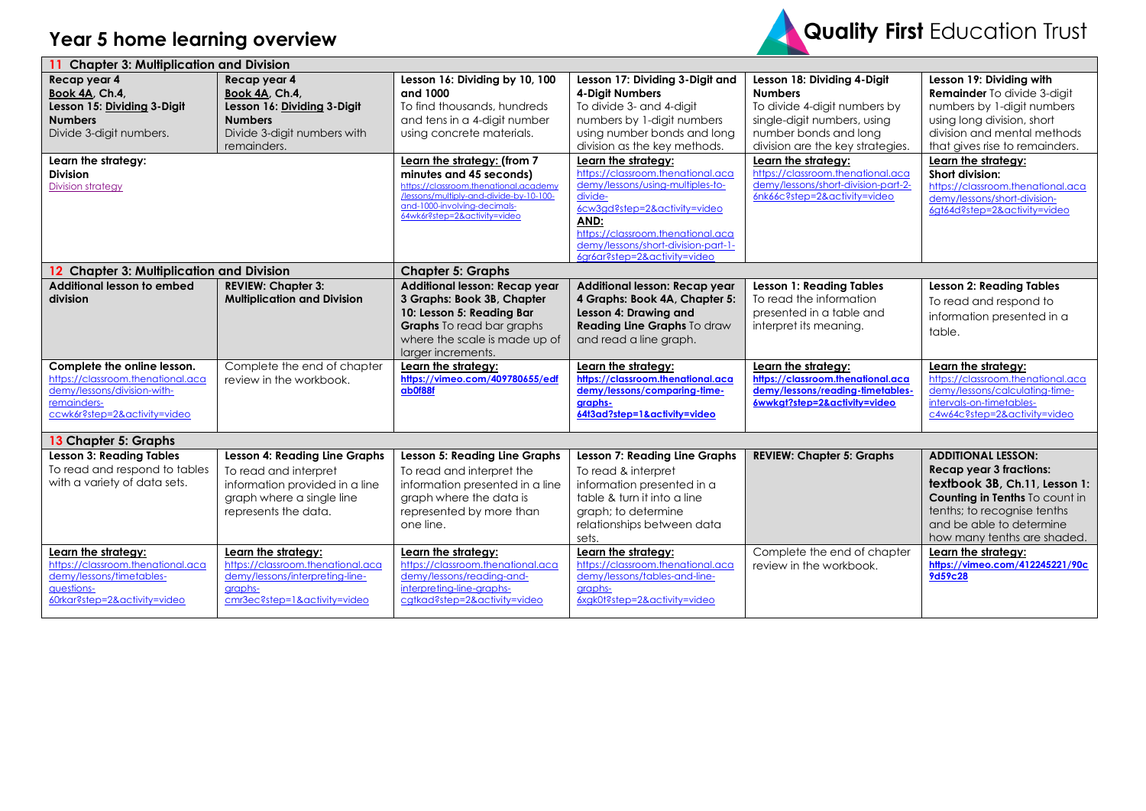

| <b>Chapter 3: Multiplication and Division</b>                                                                                                                                    |                                                                                                                                                      |                                                                                                                                                                                                                                                                                                                                                      |                                                                                                                                                                                                                                                                                                                                                                                                                                                   |                                                                                                                                                                                                                                                                                                              |                                                                                                                                                                                                                                                                                                                                            |  |
|----------------------------------------------------------------------------------------------------------------------------------------------------------------------------------|------------------------------------------------------------------------------------------------------------------------------------------------------|------------------------------------------------------------------------------------------------------------------------------------------------------------------------------------------------------------------------------------------------------------------------------------------------------------------------------------------------------|---------------------------------------------------------------------------------------------------------------------------------------------------------------------------------------------------------------------------------------------------------------------------------------------------------------------------------------------------------------------------------------------------------------------------------------------------|--------------------------------------------------------------------------------------------------------------------------------------------------------------------------------------------------------------------------------------------------------------------------------------------------------------|--------------------------------------------------------------------------------------------------------------------------------------------------------------------------------------------------------------------------------------------------------------------------------------------------------------------------------------------|--|
| Recap year 4<br>Book 4A, Ch.4,<br>Lesson 15: Dividing 3-Digit<br><b>Numbers</b><br>Divide 3-digit numbers.<br>Learn the strategy:<br><b>Division</b><br><b>Division strategy</b> | Recap year 4<br>Book 4A, Ch.4,<br>Lesson 16: Dividing 3-Digit<br><b>Numbers</b><br>Divide 3-digit numbers with<br>remainders.                        | Lesson 16: Dividing by 10, 100<br>and 1000<br>To find thousands, hundreds<br>and tens in a 4-digit number<br>using concrete materials.<br>Learn the strategy: (from 7<br>minutes and 45 seconds)<br>https://classroom.thenational.academy<br>/lessons/multiply-and-divide-by-10-100-<br>and-1000-involving-decimals-<br>64wk6r?step=2&activity=video | Lesson 17: Dividing 3-Digit and<br><b>4-Diait Numbers</b><br>To divide 3- and 4-digit<br>numbers by 1-digit numbers<br>using number bonds and long<br>division as the key methods.<br>Learn the strategy:<br>https://classroom.thenational.aca<br>demy/lessons/using-multiples-to-<br>divide-<br>6cw3gd?step=2&activity=video<br>AND:<br>https://classroom.thenational.aca<br>demy/lessons/short-division-part-1-<br>6gr6ar?step=2&activity=video | Lesson 18: Dividing 4-Digit<br><b>Numbers</b><br>To divide 4-digit numbers by<br>single-digit numbers, using<br>number bonds and long<br>division are the key strategies.<br>Learn the strategy:<br>https://classroom.thenational.aca<br>demy/lessons/short-division-part-2-<br>6nk66c?step=2&activity=video | Lesson 19: Dividing with<br><b>Remainder</b> To divide 3-digit<br>numbers by 1-digit numbers<br>using long division, short<br>division and mental methods<br>that gives rise to remainders.<br>Learn the strategy:<br>Short division:<br>https://classroom.thenational.aca<br>demy/lessons/short-division-<br>6gt64d?step=2&activity=video |  |
| 12 Chapter 3: Multiplication and Division                                                                                                                                        |                                                                                                                                                      | <b>Chapter 5: Graphs</b>                                                                                                                                                                                                                                                                                                                             |                                                                                                                                                                                                                                                                                                                                                                                                                                                   |                                                                                                                                                                                                                                                                                                              |                                                                                                                                                                                                                                                                                                                                            |  |
| Additional lesson to embed<br>division                                                                                                                                           | <b>REVIEW: Chapter 3:</b><br><b>Multiplication and Division</b>                                                                                      | Additional lesson: Recap year<br>3 Graphs: Book 3B, Chapter<br>10: Lesson 5: Reading Bar<br><b>Graphs</b> To read bar graphs<br>where the scale is made up of<br>larger increments.                                                                                                                                                                  | Additional lesson: Recap year<br>4 Graphs: Book 4A, Chapter 5:<br>Lesson 4: Drawing and<br>Reading Line Graphs To draw<br>and read a line graph.                                                                                                                                                                                                                                                                                                  | <b>Lesson 1: Reading Tables</b><br>To read the information<br>presented in a table and<br>interpret its meaning.                                                                                                                                                                                             | <b>Lesson 2: Reading Tables</b><br>To read and respond to<br>information presented in a<br>table.                                                                                                                                                                                                                                          |  |
| Complete the online lesson.<br>https://classroom.thenational.aca<br>demy/lessons/division-with-<br>remainders-<br>ccwk6r?step=2&activity=video                                   | Complete the end of chapter<br>review in the workbook.                                                                                               | Learn the strategy:<br>https://vimeo.com/409780655/edf<br>ab0f88f                                                                                                                                                                                                                                                                                    | Learn the strategy:<br>https://classroom.thenational.aca<br>demy/lessons/comparing-time-<br>graphs-<br>64t3ad?step=1&activity=video                                                                                                                                                                                                                                                                                                               | Learn the strategy:<br>https://classroom.thenational.aca<br>demy/lessons/reading-timetables-<br>6wwkgt?step=2&activity=video                                                                                                                                                                                 | Learn the strategy:<br>https://classroom.thenational.aca<br>demy/lessons/calculatina-time-<br>intervals-on-timetables-<br>c4w64c?step=2&activity=video                                                                                                                                                                                     |  |
| 13 Chapter 5: Graphs                                                                                                                                                             |                                                                                                                                                      |                                                                                                                                                                                                                                                                                                                                                      |                                                                                                                                                                                                                                                                                                                                                                                                                                                   |                                                                                                                                                                                                                                                                                                              |                                                                                                                                                                                                                                                                                                                                            |  |
| <b>Lesson 3: Reading Tables</b><br>To read and respond to tables<br>with a variety of data sets.                                                                                 | <b>Lesson 4: Reading Line Graphs</b><br>To read and interpret<br>information provided in a line<br>graph where a single line<br>represents the data. | <b>Lesson 5: Reading Line Graphs</b><br>To read and interpret the<br>information presented in a line<br>graph where the data is<br>represented by more than<br>one line.                                                                                                                                                                             | <b>Lesson 7: Reading Line Graphs</b><br>To read & interpret<br>information presented in a<br>table & turn it into a line<br>graph; to determine<br>relationships between data<br>sets.                                                                                                                                                                                                                                                            | <b>REVIEW: Chapter 5: Graphs</b>                                                                                                                                                                                                                                                                             | <b>ADDITIONAL LESSON:</b><br><b>Recap year 3 fractions:</b><br>textbook 3B, Ch.11, Lesson 1:<br>Counting in Tenths To count in<br>tenths; to recognise tenths<br>and be able to determine<br>how many tenths are shaded.                                                                                                                   |  |
| Learn the strategy:<br>https://classroom.thenational.aca<br>demy/lessons/timetables-<br>questions-<br>60rkar?step=2&activity=video                                               | Learn the strategy:<br>https://classroom.thenational.aca<br>demy/lessons/interpreting-line-<br>graphs-<br>cmr3ec?step=1&activity=video               | Learn the strategy:<br>https://classroom.thenational.aca<br>demy/lessons/reading-and-<br>interpreting-line-graphs-<br>catkad?step=2&activity=video                                                                                                                                                                                                   | Learn the strategy:<br>https://classroom.thenational.aca<br>demy/lessons/tables-and-line-<br>graphs-<br>6xgk0t?step=2&activity=video                                                                                                                                                                                                                                                                                                              | Complete the end of chapter<br>review in the workbook.                                                                                                                                                                                                                                                       | Learn the strategy:<br>https://vimeo.com/412245221/90c<br>9d59c28                                                                                                                                                                                                                                                                          |  |